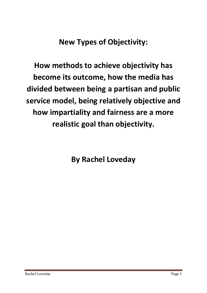**New Types of Objectivity:**

**How methods to achieve objectivity has become its outcome, how the media has divided between being a partisan and public service model, being relatively objective and how impartiality and fairness are a more realistic goal than objectivity.**

**By Rachel Loveday**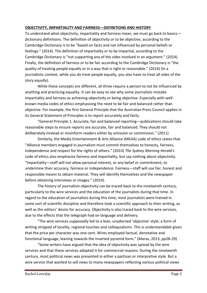### **OBJECTIVITY, IMPARTIALITY AND FAIRNESS—DEFINITIONS AND HISTORY**

To understand what objectivity, impartiality and fairness mean, we must go back to basics dictionary definitions. The definition of objectivity or to be objective, according to the Cambridge Dictionary is to be "based on facts and not influenced by personal beliefs or feelings." (2014). The definition of impartiality or to be impartial, according to the Cambridge Dictionary is "not supporting any of the sides involved in an argument." (2014). Finally, the definition of fairness or to be fair according to the Cambridge Dictionary is "the quality of treating people equally or in a way that is right or reasonable." (2014) (In a journalistic context, while you do treat people equally, you also have to treat all sides of the story equally).

While these concepts are different, all three require a person to not be influenced by anything and practicing equality. It can be easy to see why some journalists mistake impartiality and fairness as achieving objectivity or being objective. Especially with wellknown media codes of ethics emphasising the need to be fair and balanced rather than objective. For example, the first General Principle that the Australian Press Council applies in its General Statement of Principles is to report accurately and fairly.

"General Principle 1: Accurate, fair and balanced reporting—publications should take reasonable steps to ensure reports are accurate, fair and balanced. They should not deliberately mislead or misinform readers either by omission or commission." (2011)

Similarly, the Media Entertainment & Arts Alliance (MEAA) code of ethics states that "Alliance members engaged in journalism must commit themselves to honesty, fairness, independence and respect for the rights of others." (2014) *The Sydney Morning Herald's* code of ethics also emphasise fairness and impartiality, but say nothing about objectivity. "Impartiality—staff will not allow personal interest, or any belief or commitment, to undermine their accuracy, fairness or independence. Fairness—staff will use fair, honest and responsible means to obtain material. They will identify themselves and the newspaper before obtaining interviews or images." (2014).

The history of journalism objectivity can be traced back to the nineteenth century, particularly to the wire services and the education of the journalists during that time. In regard to the education of journalists during this time, most journalists were trained in some sort of scientific discipline and therefore took a scientific approach to their writing, as well as the editors' desire for accuracy. Objectivity is also traced back to the wire services, due to the effects that the telegraph had on language and delivery.

"The wire services supposedly led to a lean, unadorned 'objective' style; a form of writing stripped of locality, regional touches and colloquialisms. This is understandable given that the price per character was one cent. Wires employed factual, denotative and functional language, leaning towards the inverted pyramid form." (Maras, 2013, pp28-29)

"Some writers have argued that the idea of objectivity was spread by the wire services and that these services adopted it for commercial reasons. During the nineteenth century, most political news was presented in either a partisan or interpretive style. But a wire service that wanted to sell news to many newspapers reflecting various political views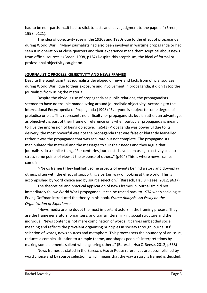had to be non-partisan...it had to stick to facts and leave judgment to the papers." (Breen, 1998, p121).

The idea of objectivity rose in the 1920s and 1930s due to the effect of propaganda during World War I. "Many journalists had also been involved in wartime propaganda or had seen it in operation at close quarters and their experience made them sceptical about news from official sources." (Breen, 1998, p124) Despite this scepticism, the ideal of formal or professional objectivity caught on.

## **JOURNALISTIC PROCESS, OBJECTIVITY AND NEWS FRAMES**

Despite the scepticism that journalists developed of news and facts from official sources during World War I due to their exposure and involvement in propaganda, it didn't stop the journalists from using the material.

Despite the obvious use of propaganda as public relations, the propagandists seemed to have no trouble manoeuvring around journalistic objectivity. According to the International Encyclopedia of Propaganda (1998) "Everyone is subject to some degree of prejudice or bias. This represents no difficulty for propagandists but is, rather, an advantage, as objectivity is part of their frame of reference only when particular propaganda is meant to give the impression of being objective." (p543) Propaganda was powerful due to its delivery, the most powerful was not the propaganda that was false or blatantly fear-filled rather it was the propaganda that was accurate but not complete. The propagandists manipulated the material and the messages to suit their needs and they argue that journalists do a similar thing. "For centuries journalists have been using selectivity bias to stress some points of view at the expense of others." (p404) This is where news frames come in.

"(News frames) They highlight some aspects of events behind a story and downplay others, often with the effect of supporting a certain way of looking at the world. This is accomplished by word choice and by source selection." (Baresch, Hsu & Reese, 2012, p637)

The theoretical and practical application of news frames in journalism did not immediately follow World War I propaganda, it can be traced back to 1974 when sociologist, Erving Goffman introduced the theory in his book, *Frame Analysis: An Essay on the Organization of Experience.* 

"News media are no doubt the most important actors in the framing process: They are the frame generators, organizers, and transmitters, linking social structure and the individual. News content is not mere combination of words; it carries embedded social meaning and reflects the prevalent organizing principles in society through journalists' selection of words, news sources and metaphors. This process sets the boundary of an issue, reduces a complex situation to a simple theme, and shapes people's interpretations by making some elements salient while ignoring others." (Baresch, Hsu & Reese, 2012, p638)

News frames as stated in the Baresch, Hsu & Reese references are accomplished by word choice and by source selection, which means that the way a story is framed is decided,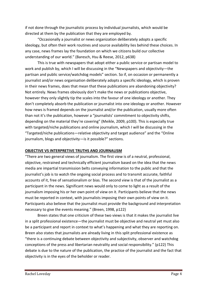if not done through the journalistic process by individual journalists, which would be directed at them by the publication that they are employed by.

"Occasionally a journalist or news organization deliberately adopts a specific ideology, but often their work routines and source availability lies behind these choices. In any case, news frames lay the foundation on which we citizens build our collective understanding of our world." (Baresch, Hsu & Reese, 2012, p638)

This is true with newspapers that adopt either a public service or partisan model to work and publish by, which I will be discussing in the "Newspapers and objectivity—the partisan and public service/watchdog models" section. So if, on occasion or permanently a journalist and/or news organisation deliberately adopts a specific ideology, which is proven in their news frames, does that mean that these publications are abandoning objectivity? Not entirely. News frames obviously don't make the news or publications objective, however they only slightly tip the scales into the favour of one ideology or another. They don't completely absorb the publication or journalist into one ideology or another. However how news is framed depends on the journalist and/or the publication, usually more often than not it's the publication, however a "journalists' commitment to objectivity shifts, depending on the material they're covering" (Meikle, 2009, p100). This is especially true with targeted/niche publications and online journalism, which I will be discussing in the "Targeted/niche publications—relative objectivity and target audience" and the "Online journalism, blogs and objectivity—is it possible?" sections.

### **OBJECTIVE VS INTERPRETIVE TRUTHS AND JOURNALISM**

"There are two general views of journalism. The first view is of a neutral, professional, objective, restrained and technically efficient journalism based on the idea that the news media are impartial transmission belts conveying information to the public and that the journalist's job is to watch the ongoing social process and to transmit accurate, faithful accounts of it, free of sensationalism or bias. The second view is that of the journalist as a participant in the news. Significant news would only to come to light as a result of the journalism imposing his or her own point of view on it. Participants believe that the news must be reported in context, with journalists imposing their own points of view on it. Participants also believe that the journalist must provide the background and interpretation necessary to give the events meaning." (Breen, 1998, p122)

Breen states that one criticism of these two views is that it makes the journalist live in a split professional existence—the journalist must be objective and neutral yet must also be a participant and report in context to what's happening and what they are reporting on. Breen also states that journalists are already living in this split professional existence as "there is a continuing debate between objectivity and subjectivity, observer and watchdog conceptions of the press and libertarian neutrality and social responsibility." (p122) This debate is due to the nature of the publication, the practice of the journalist and the fact that objectivity is in the eyes of the beholder or reader.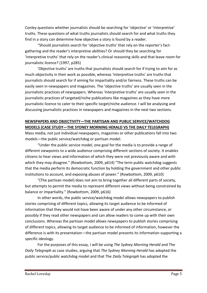Conley questions whether journalists should be searching for 'objective' or 'interpretive' truths. These questions of what truths journalists should search for and what truths they find in a story can determine how objective a story is found by a reader.

"Should journalists search for 'objective truths' that rely on the reporter's factgathering and the reader's interpretive abilities? Or should they be searching for 'interpretive truths' that rely on the reader's clinical reasoning skills and that leave room for journalistic licence? (1997, p285)

'Objective truths' are truths that journalists should search for if trying to aim for as much objectivity in their work as possible, whereas 'interpretive truths' are truths that journalists should search for if aiming for impartiality and/or fairness. These truths can be easily seen in newspapers and magazines. The 'objective truths' are usually seen in the journalistic practices of newspapers. Whereas 'interpretive truths' are usually seen in the journalistic practices of targeted/niche publications like magazines as they have more journalistic licence to cater to their specific target/niche audience. I will be analysing and discussing journalistic practices in newspapers and magazines in the next two sections.

## **NEWSPAPERS AND OBJECTIVITY—THE PARTISAN AND PUBLIC SERVICE/WATCHDOG MODELS (CASE STUDY—THE SYDNEY MORNING HERALD VS THE DAILY TELEGRAPH)**

Mass media, not just individual newspapers, magazines or other publications fall into two models—the public service/watchdog or partisan model.

"Under the public service model, one goal for the media is to provide a range of different viewpoints to a wide audience comprising different sections of society. It enables citizens to hear views and information of which they were not previously aware and with which they may disagree." (Rowbottom, 2009, p614) "The term public watchdog suggests that the media perform its democratic function by holding the government and other public institutions to account, and exposing abuses of power." (Rowbottom, 2009, p610)

"(The partisan model) does not aim to bring together all different parts of society, but attempts to permit the media to represent different views without being constrained by balance or impartiality." (Rowbottom, 2009, p616)

In other words, the public service/watchdog model allows newspapers to publish stories comprising of different topics, allowing its target audience to be informed of information that they would not have been aware of under any other circumstance, or possibly if they read other newspapers and can allow readers to come up with their own conclusions. Whereas the partisan model allows newspapers to publish stories comprising of different topics, allowing its target audience to be informed of information, however the difference is with its presentation—the partisan model presents its information supporting a specific ideology.

For the purposes of this essay, I will be using *The Sydney Morning Herald* and The *Daily Telegraph* as case studies, arguing that *The Sydney Morning Herald* has adopted the public service/public watchdog model and that The *Daily Telegraph* has adopted the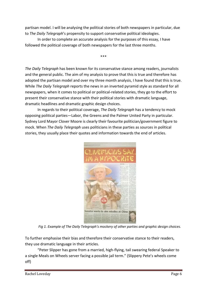partisan model. I will be analysing the political stories of both newspapers in particular, due to *The Daily Telegraph*'s propensity to support conservative political ideologies.

\*\*\*

In order to complete an accurate analysis for the purposes of this essay, I have followed the political coverage of both newspapers for the last three months.

*The Daily Telegraph* has been known for its conservative stance among readers, journalists and the general public. The aim of my analysis to prove that this is true and therefore has adopted the partisan model and over my three month analysis, I have found that this is true. While *The Daily Telegraph* reports the news in an inverted pyramid style as standard for all newspapers, when it comes to political or political-related stories, they go to the effort to present their conservative stance with their political stories with dramatic language, dramatic headlines and dramatic graphic design choices.

In regards to their political coverage, *The Daily Telegraph* has a tendency to mock opposing political parties—Labor, the Greens and the Palmer United Party in particular. Sydney Lord Mayor Clover Moore is clearly their favourite politician/government figure to mock. When *The Daily Telegraph* uses politicians in these parties as sources in political stories, they usually place their quotes and information towards the end of articles.



*Fig 1. Example of The Daily Telegraph's mockery of other parties and graphic design choices.*

To further emphasise their bias and therefore their conservative stance to their readers, they use dramatic language in their articles.

"Peter Slipper has gone from a married, high-flying, tail swearing federal Speaker to a single Meals on Wheels server facing a possible jail term." (Slippery Pete's wheels come off)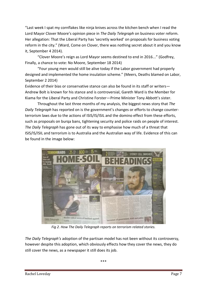"Last week I spat my cornflakes like ninja knives across the kitchen bench when I read the Lord Mayor Clover Moore's opinion piece in *The Daily Telegraph* on business voter reform. Her allegation: That the Liberal Party has 'secretly worked' on proposals for business voting reform in the city." (Ward, Come on Clover, there was nothing secret about it and you know it, September 4 2014).

"Clover Moore's reign as Lord Mayor seems destined to end in 2016..." (Godfrey, Finally, a chance to vote: No Moore, September 18 2014)

"Four young men would still be alive today if the Labor government had properly designed and implemented the home insulation scheme." (Meers, Deaths blamed on Labor, September 2 2014)

Evidence of their bias or conservative stance can also be found in its staff or writers— Andrew Bolt is known for his stance and is controversial, Gareth Ward is the Member for Kiama for the Liberal Party and Christine Forster—Prime Minister Tony Abbott's sister.

Throughout the last three months of my analysis, the biggest news story that *The Daily Telegraph* has reported on is the government's changes or efforts to change counterterrorism laws due to the actions of ISIS/IS/ISIL and the domino effect from these efforts, such as proposals on burqa bans, tightening security and police raids on people of interest. *The Daily Telegraph* has gone out of its way to emphasise how much of a threat that ISIS/IS/ISIL and terrorism is to Australia and the Australian way of life. Evidence of this can be found in the image below:



*Fig 2. How The Daily Telegraph reports on terrorism related stories.*

*The Daily Telegraph's* adoption of the partisan model has not been without its controversy, however despite this adoption, which obviously effects how they cover the news, they do still cover the news, as a newspaper it still does its job.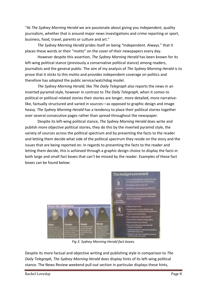"At *The Sydney Morning Herald* we are passionate about giving you independent, quality journalism, whether that is around major news investigations and crime reporting or sport, business, food, travel, parents or culture and art."

*The Sydney Morning Herald* prides itself on being "Independent. Always." that it places these words or their "motto" on the cover of their newspapers every day.

However despite this assertion, *The Sydney Morning Herald* has been known for its left-wing political stance (previously a conservative political stance) among readers, journalists and the general public. The aim of my analysis of *The Sydney Morning Herald* is to prove that it sticks to this motto and provides independent coverage on politics and therefore has adopted the public service/watchdog model.

*The Sydney Morning Herald*, like *The Daily Telegraph* also reports the news in an inverted pyramid style, however in contrast to *The Daily Telegraph*, when it comes to political or political-related stories their stories are longer, more detailed, more narrativelike, factually structured and varied in sources—as opposed to graphic design and image heavy. *The Sydney Morning Herald* has a tendency to place their political stories together over several consecutive pages rather than spread throughout the newspaper.

Despite its left-wing political stance, *The Sydney Morning Herald* does write and publish more objective political stories, they do this by the inverted pyramid style, the variety of sources across the political spectrum and by presenting the facts to the reader and letting them decide what side of the political spectrum they reside on the story and the issues that are being reported on. In regards to presenting the facts to the reader and letting them decide, this is achieved through a graphic design choice to display the facts in both large and small fact boxes that can't be missed by the reader. Examples of these fact boxes can be found below:



*Fig 3. Sydney Morning Herald fact boxes.*

Despite its more factual and objective writing and publishing style in comparison to *The Daily Telegraph, The Sydney Morning Herald* does display hints of its left-wing political stance. The News Review weekend pull-out section in particular displays these hints,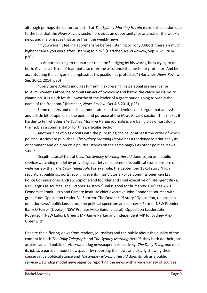although perhaps the editors and staff at *The Sydney Morning Herald* make this decision due to the fact that the *News Review* section provides an opportunity for analysis of the weekly news and major issues that arise from the weekly news.

"If you weren't feeling apprehensive before listening to Tony Abbott, there's a much higher chance you were after listening to him." (Hartcher, *News Review*, Sep 20-21 2014, p30)

"Is Abbott seeking to reassure or to alarm? Judging by his words, he is trying to do both. Give us a frisson of fear, but also offer the assurance that he is our protector. And by accentuating the danger, he emphasises his position as protector." (Hartcher, *News Review*, Sep 20-21 2014, p30)

"Every time Abbott indulges himself in expressing his personal preference for Muslim women's attire, he commits an act of hypocrisy and harms the cause he claims to champion. It is a sick fetish unworthy of the leader of a great nation going to war in the name of the freedom." (Hartcher, *News Review*, Oct 4-5 2014, p28)

Some readers and media commentators and academics could argue that analysis and a little bit of opinion is the point and purpose of the *News Review* section. This makes it harder to tell whether *The Sydney Morning Herald* journalists are being bias or just doing their job as a commentator for this particular section.

Another hint of bias occurs with the publishing choice, or at least the order of which political stories are published, *The Sydney Morning Herald* has a tendency to print analysis or comment and opinion on a political stories on the same page/s as other political news stories.

Despite a small hint of bias, *The Sydney Morning Herald* does its job as a public service/watchdog model by providing a variety of sources in its political stories—more of a wide variety than *The Daily Telegraph*. For example, the September 13-14 story "High security at buildings, ports, sporting events" has Victoria Police Commissioner Ken Lay, Police Commissioner Andrew Scipione and founder and chief executive of Intelligent Risks, Neil Fergus as sources. The October 14 story "Coal is good for humanity: PM" has ANU Economist Frank Jutzo and Climate Institute chief executive John Connor as sources with grabs from Opposition Leader Bill Shorten. The October 15 story "Opposition, unions pan donation laws" politicians across the political spectrum are sources—Former NSW Premier Barry O'Farrell (Liberal), NSW Premier Mike Baird (Liberal), Opposition Leader John Robertson (NSW Labor), Greens MP Jamie Parker and Independent MP for Sydney Alex Greenwich.

Despite the differing views from readers, journalists and the public about the quality of the content in both *The Daily Telegraph* and *The Sydney Morning Herald*, they both do their jobs as partisan and public service/watchdog newspapers respectively. *The Daily Telegraph* does its job as a partisan model newspaper by reporting the news and clearly showing their conservative political stance and *The Sydney Morning Herald* does its job as a public service/watchdog model newspaper by reporting the news with a wide variety of sources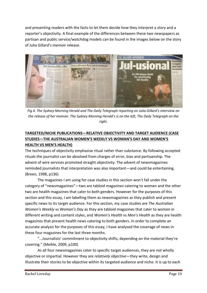and presenting readers with the facts to let them decide how they interpret a story and a reporter's objectivity. A final example of the differences between these two newspapers as partisan and public service/watchdog models can be found in the images below on the story of Julia Gillard's memoir release.



*Fig 4. The Sydney Morning Herald and The Daily Telegraph reporting on Julia Gillard's interview on the release of her memoir. The Sydney Morning Herald's is on the left, The Daily Telegraph on the right.*

# **TARGETED/NICHE PUBLICATIONS—RELATIVE OBJECTIVITY AND TARGET AUDIENCE (CASE STUDIES—THE AUSTRALIAN WOMEN'S WEEKLY VS WOMAN'S DAY AND WOMEN'S HEALTH VS MEN'S HEALTH)**

The techniques of objectivity emphasise ritual rather than substance. By following accepted rituals the journalist can be absolved from charges of error, bias and partisanship. The advent of wire services promoted straight objectivity. The advent of newsmagazines reminded journalists that interpretation was also important—and could be entertaining. (Breen, 1998, p136)

The magazines I am using for case studies in this section won't fall under the category of "newsmagazines"—two are tabloid magazines catering to women and the other two are health magazines that cater to both genders. However for the purposes of this section and this essay, I am labelling them as newsmagazines as they publish and present specific news to its target audience. For this section, my case studies are *The Australian Women's Weekly* vs *Woman's Day* as they are tabloid magazines that cater to women in different writing and content styles, and *Women's Health* vs *Men's Health* as they are health magazines that present health news catering to both genders. In order to complete an accurate analysis for the purposes of this essay, I have analysed the coverage of news in these four magazines for the last three months.

"...Journalists' commitment to objectivity shifts, depending on the material they're covering." (Meikle, 2009, p100)

As all four newsmagazines cater to specific target audiences, they are not wholly objective or impartial. However they are *relatively objective*—they write, design and illustrate their stories to be objective within its targeted audience and niche. It is up to each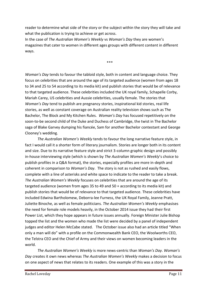reader to determine what side of the story or the subject within the story they will take and what the publication is trying to achieve or get across.

In the case of *The Australian Women's Weekly* vs *Woman's Day* they are women's magazines that cater to women in different ages groups with different content in different ways.

\*\*\*

*Woman's Day* tends to favour the tabloid style, both in content and language choice. They focus on celebrities that are around the age of its targeted audience (women from ages 18 to 34 and 25 to 54 according to its media kit) and publish stories that would be of relevance to that targeted audience. These celebrities included the UK royal family, Schapelle Corby, Mariah Carey, US celebrities and Aussie celebrities, usually female. The stories that *Woman's Day* tend to publish are pregnancy stories, inspirational kid stories, real life stories, as well as constant coverage on Australian reality television shows such as The Bachelor, The Block and My Kitchen Rules. *Woman's Day* has focused repetitively on the soon-to-be second child of the Duke and Duchess of Cambridge, the twist in The Bachelor saga of Blake Garvey dumping his fiancée, Sam for another Bachelor contestant and George Clooney's wedding.

*The Australian Women's Weekly* tends to favour the long narrative feature style, in fact I would call it a shorter form of literary journalism. Stories are longer both in its content and size. Due to its narrative feature style and strict 3-column graphic design and possibly in-house interviewing style (which is shown by *The Australian Women's Weekly*'s choice to publish profiles in a Q&A format), the stories, especially profiles are more in-depth and coherent in comparison to *Woman's Day*. The story is not as rushed and easily flows, complete with a line of asterisks and white space to indicate to the reader to take a break. *The Australian Women's Weekly* focuses on celebrities that are around the age of its targeted audience (women from ages 35 to 49 and 50 + according to its media kit) and publish stories that would be of relevance to that targeted audience. These celebrities have included Edwina Bartholomew, Deborra-lee Furness, the UK Royal Family, Jeanne Pratt, Juliette Binoche, as well as female politicians. *The Australian Women's Weekly* emphasises the need for female role models heavily, in the October 2014 issue they had their first Power List, which they hope appears in future issues annually. Foreign Minister Julie Bishop topped the list and the women who made the list were decided by a panel of independent judges and editor Helen McCabe stated. The October issue also had an article titled "When only a man will do" with a profile on the Commonwealth Bank CEO, the Woolworths CEO, the Telstra CEO and the Chief of Army and their views on women becoming leaders in the world.

*The Australian Women's Weekly* is more news-centric than *Woman's Day*. *Woman's Day* creates it own news whereas *The Australian Women's Weekly* makes a decision to focus on one aspect of news that relates to its readers. One example of this was a story in the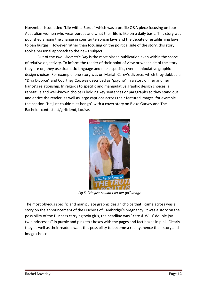November issue titled "Life with a Burqa" which was a profile Q&A piece focusing on four Australian women who wear burqas and what their life is like on a daily basis. This story was published among the change in counter terrorism laws and the debate of establishing laws to ban burqas. However rather than focusing on the political side of the story, this story took a personal approach to the news subject.

Out of the two, *Woman's Day* is the most biased publication even within the scope of relative objectivity. To inform the reader of their point of view or what side of the story they are on, they use dramatic language and make specific, even manipulative graphic design choices. For example, one story was on Mariah Carey's divorce, which they dubbed a "Diva Divorce" and Courtney Cox was described as "psycho" in a story on her and her fiancé's relationship. In regards to specific and manipulative graphic design choices, a repetitive and well-known choice is bolding key sentences or paragraphs so they stand out and entice the reader, as well as large captions across their featured images, for example the caption "He just couldn't let her go" with a cover story on Blake Garvey and The Bachelor contestant/girlfriend, Louise.



*Fig 5. "He just couldn't let her go" image*

The most obvious specific and manipulate graphic design choice that I came across was a story on the announcement of the Duchess of Cambridge's pregnancy. It was a story on the possibility of the Duchess carrying twin girls, the headline was "Kate & Wills' double joy twin princesses" in purple and pink text boxes with the pages and fact boxes in pink. Clearly they as well as their readers want this possibility to become a reality, hence their story and image choice.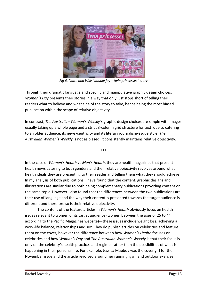

*Fig 6. "Kate and Wills' double joy—twin princesses" story*

Through their dramatic language and specific and manipulative graphic design choices, *Woman's Day* presents their stories in a way that only just stops short of telling their readers what to believe and what side of the story to take, hence being the most biased publication within the scope of relative objectivity.

In contrast, *The Australian Women's Weekly's* graphic design choices are simple with images usually taking up a whole page and a strict 3-column grid structure for text, due to catering to an older audience, its news-centricity and its literary journalism-esque style, *The Australian Women's Weekly* is not as biased, it consistently maintains relative objectivity.

\*\*\*

In the case of *Women's Health* vs *Men's Health*, they are health magazines that present health news catering to both genders and their relative objectivity revolves around what health ideals they are presenting to their reader and telling them what they should achieve. In my analysis of both publications, I have found that the content, graphic designs and illustrations are similar due to both being complementary publications providing content on the same topic. However I also found that the differences between the two publications are their use of language and the way their content is presented towards the target audience is different and therefore so is their relative objectivity.

The content of the feature articles in *Women's Health* obviously focus on health issues relevant to women of its target audience (women between the ages of 25 to 44 according to the Pacific Magazines website)—these issues include weight loss, achieving a work-life balance, relationships and sex. They do publish articles on celebrities and feature them on the cover, however the difference between how *Women's Health* focuses on celebrities and how *Woman's Day* and *The Australian Women's Weekly* is that their focus is only on the celebrity's health practices and regime, rather than the possibilities of what is happening in their personal life. For example, Jessica Mauboy was the cover girl for the November issue and the article revolved around her running, gym and outdoor exercise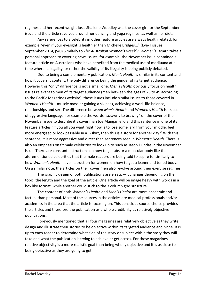regimes and her recent weight loss. Shailene Woodley was the cover girl for the September issue and the article revolved around her dancing and yoga regimes, as well as her diet.

Any references to a celebrity in other feature articles are always health related, for example "even if your eyesight is healthier than Michelle Bridges..." (Eye-T issues, September 2014, p40) Similarly to *The Australian Women's Weekly*, *Women's Health* takes a personal approach to covering news issues, for example, the November issue contained a feature article on Australians who have benefited from the medical use of marijuana at a time where its legality, or rather the validity of its illegality is being publicly debated.

Due to being a complementary publication, *Men's Health* is similar in its content and how it covers it content, the only difference being the gender of its target audience. However this "only" difference is not a small one. *Men's Health* obviously focus on health issues relevant to men of its target audience (men between the ages of 25 to 49 according to the Pacific Magazines website), these issues include similar issues to those covered in *Women's Health*—muscle mass or gaining a six pack, achieving a work-life balance, relationships and sex. The difference between *Men's Health* and *Women's Health* is its use of aggressive language, for example the words "scrawny to brawny" on the cover of the November issue to describe it's cover man Joe Manganiello and this sentence in one of its feature articles "If you all you want right now is to lose some lard from your middle, feel more energised or look passable in a T-shirt, then this is a story for another day." With this sentence, it is more aggressive and direct than sentences seen in *Women's Health*. There is also an emphasis on fit male celebrities to look up to such as Jason Dundas in the November issue. There are constant instructions on how to get abs or a muscular body like the aforementioned celebrities that the male readers are being told to aspire to, similarly to how *Women's Health* have instruction for women on how to get a leaner and toned body. On a similar note, the articles on their cover men also revolve around their exercise regimes.

The graphic design of both publications are erratic—it changes depending on the topic, the length and the goal of the article. One article will be image heavy with words in a box like format, while another could stick to the 3 column grid structure.

The content of both *Women's Health* and *Men's Health* are more academic and factual than personal. Most of the sources in the articles are medical professionals and/or academics in the area that the article is focusing on. This conscious source choice provides the articles and therefore the publication as a whole credibility as relatively objective publications.

I previously mentioned that all four magazines are relatively objective as they write, design and illustrate their stories to be objective within its targeted audience and niche. It is up to each reader to determine what side of the story or subject within the story they will take and what the publication is trying to achieve or get across. For these magazines, relative objectivity is a more realistic goal than being wholly objective and it is as close to being objective as they are going to get.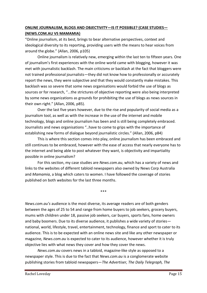# **ONLINE JOURNALISM, BLOGS AND OBJECTIVITY—IS IT POSSIBLE? (CASE STUDIES— (NEWS.COM.AU VS MAMAMIA)**

"Online journalism, at its best, brings to bear alternative perspectives, context and ideological diversity to its reporting, providing users with the means to hear voices from around the globe." (Allan, 2006, p105)

Online journalism is relatively new, emerging within the last ten to fifteen years. One of journalism's first experiences with the online world came with blogging, however it was met with journalistic backlash. The main criticisms or backlash at the fact that bloggers were not trained professional journalists—they did not know how to professionally or accurately report the news, they were subjective and that they would constantly make mistakes. This backlash was so severe that some news organisations would forbid the use of blogs as sources or for research, "...the strictures of objective reporting were also being interpreted by some news organizations as grounds for prohibiting the use of blogs as news sources in their own right." (Allan, 2006, p85).

Over the last five years however, due to the rise and popularity of social media as a journalism tool, as well as with the increase in the use of the internet and mobile technology, blogs and online journalism has been and is still being completely embraced. Journalists and news organisations "..have to come to grips with the importance of establishing new forms of dialogue beyond journalistic circles." (Allan, 2006, p84)

This is where this section comes into play, online journalism has been embraced and still continues to be embraced, however with the ease of access that nearly everyone has to the internet and being able to post whatever they want, is objectivity and impartiality possible in online journalism?

For this section, my case studies are *News.com.au*, which has a variety of news and links to the websites of different tabloid newspapers also owned by News Corp Australia and *Mamamia*, a blog which caters to women. I have followed the coverage of stories published on both websites for the last three months.

\*\*\*

*News.com.au's* audience is the most diverse, its average readers are of both genders between the ages of 25 to 54 and range from home buyers to job seekers, grocery buyers, mums with children under 18, passive job seekers, car buyers, sports fans, home owners and baby boomers. Due to its diverse audience, it publishes a wide variety of stories national, world, lifestyle, travel, entertainment, technology, finance and sport to cater to its audience. This is to be expected with an online news site and like any other newspaper or magazine, *News.com.au* is expected to cater to its audience, however whether it is truly objective lies with what news they cover and how they cover the news.

*News.com.au* covers news in a tabloid, magazine-like style as opposed to a newspaper style. This is due to the fact that *News.com.au* is a conglomerate website publishing stories from tabloid newspapers—*The Advertiser, The Daily Telegraph, The*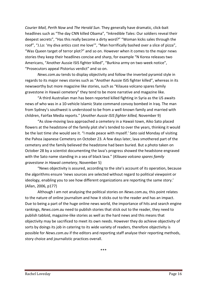*Courier Mail, Perth Now* and *The Herald Sun*. They generally have dramatic, click-bait headlines such as "The day CNN killed Obama", "Inkredible Tales: Our soldiers reveal their deepest secrets", "Has this really become a dirty word?" "Woman kicks sales through the roof", "J.Lo: 'my diva antics cost me love'", "Man horrifically bashed over a slice of pizza", "Was Queen target of terror plot?" and so on. However when it comes to the major news stories they keep their headlines concise and sharp, for example "N Korea releases two Americans, "Another Aussie ISIS fighter killed", "Burkina army on two-week notice", "Prosecutors appeal Pistorius verdict" and so on.

*News.com.au* tends to display objectivity and follow the inverted pyramid style in regards to its major news stories such as "Another Aussie ISIS fighter killed", whereas in its newsworthy but more magazine like stories, such as "Kilauea volcano spares family gravestone in Hawaii cemetery" they tend to be more narrative and magazine like.

"A third Australian man has been reported killed fighting in Syria as the US awaits news of who was in a 10-vehicle Islamic State command convoy bombed in Iraq. The man from Sydney's southwest is understood to be from a well-known family and married with children, Fairfax Media reports." (*Another Aussie ISIS fighter killed,* November 9)

"As slow-moving lava approached a cemetery in a Hawaii town, Aiko Sato placed flowers at the headstone of the family plot she's tended to over the years, thinking it would be the last time she would see it. "I made peace with myself.' Sato said Monday of visiting the Pahoa Japanese Cemetery on October 23. A few days later, lava smothered part of the cemetery and the family believed the headstone had been buried. But a photo taken on October 28 by a scientist documenting the lava's progress showed the headstone engraved with the Sato name standing in a sea of black lava." (*Kilauea volcano spares family gravestone in Hawaii cemetery*, November 5)

"News objectivity is assured, according to the site's account of its operation, because the algorithms ensure 'news sources are selected without regard to political viewpoint or ideology, enabling you to see how different organizations are reporting the same story.' (Allan, 2006, p177)

Although I am not analysing the political stories on *News.com.au,* this point relates to the nature of online journalism and how it sticks out to the reader and has an impact. Due to being a part of the huge online news world, the importance of hits and search engine rankings, *News.com.au* need to publish stories that stick out to the reader, they need to publish tabloid, magazine-like stories as well as the hard news and this means that objectivity may be sacrificed to meet its own needs. However they do achieve objectivity of sorts by doings its job in catering to its wide variety of readers, therefore objectivity is possible for *News.com.au* if the editors and reporting staff analyse their reporting methods, story choice and journalistic practices overall.

\*\*\*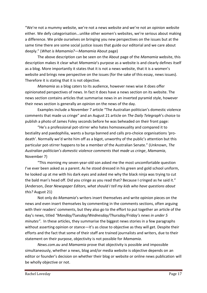"We're not a mummy website, we're not a news website and we're not an opinion website either. We defy categorisation...unlike other women's websites, we're serious about making a difference. We pride ourselves on bringing you new perspectives on the issues but at the same time there are some social justice issues that guide our editorial and we care about deeply." (*What is Mamamia?—Mamamia* About page)

The above description can be seen on the About page of the *Mamamia* website, this description makes it clear what *Mamamia*'s purpose as a website is and clearly defines itself as a blog. More importantly it states that it is not a news website, that it is a women's website and brings new perspective on the issues (for the sake of this essay, news issues). Therefore it is stating that it is not objective.

*Mamamia* as a blog caters to its audience, however news wise it does offer opinionated perspectives of news. In fact it does have a news section on its website. The news section contains articles that summarise news in an inverted pyramid style, however their news section is generally an opinion on the news of the day.

Examples include a November 7 article "The Australian politician's domestic violence comments that made us cringe" and an August 21 article on *The Daily Telegraph*'s choice to publish a photo of James Foley seconds before he was beheaded on their front page:

"He's a professional pot-stirrer who hates homosexuality and compared it to bestiality and paedophilia, wants a burqa banned and calls pro-choice organisations 'prodeath'. Normally we'd write him off as a bigot, unworthy of the public's attention but this particular pot-stirrer happens to be a member of the Australian Senate." (Unknown, *The Australian politician's domestic violence comments that made us cringe*, *Mamamia*, November 7)

"This morning my seven-year-old son asked me the most uncomfortable question I've ever been asked as a parent. As he stood dressed in his green and gold school uniform, he looked up at me with his dark eyes and asked me why the black ninja was trying to cut the bald man's head off. Did you cringe as you read that? Because I cringed as he said it." (Anderson, *Dear Newspaper Editors, what should I tell my kids who have questions about this?* August 21)

Not only do *Mamamia*'s writers insert themselves and write opinion pieces on the news and even insert themselves by commenting in the comments sections, often arguing with their readers' comments, but they also go to the effort to put together an article of the day's news, titled *"Monday/Tuesday/Wednesday/Thursday/Friday's news in under 5 minutes"*. In these articles, they summarise the biggest news stories in a few paragraphs without asserting opinion or stance—it's as close to objective as they will get. Despite their efforts and the fact that some of their staff are trained journalists and writers, due to their statement on their purpose, objectivity is not possible for *Mamamia*.

*News.com.au* and *Mamamia* prove that objectivity is possible and impossible simultaneously, whether a news, blog and/or media website is objective depends on an editor or founder's decision on whether their blog or website or online news publication will be wholly objective or not.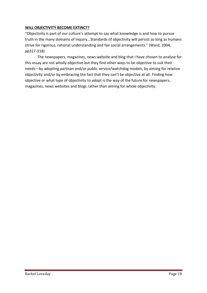## **WILL OBJECTIVITY BECOME EXTINCT?**

"Objectivity is part of our culture's attempt to say what knowledge is and how to pursue truth in the many domains of inquiry...Standards of objectivity will persist so long as humans strive for rigorous, rational understanding and fair social arrangements." (Ward, 2004, pp317-318)

The newspapers, magazines, news website and blog that I have chosen to analyse for this essay are not wholly objective but they find other ways to be objective to suit their needs—by adopting partisan and/or public service/watchdog models, by aiming for relative objectivity and/or by embracing the fact that they can't be objective at all. Finding how objective or what type of objectivity to adopt is the way of the future for newspapers, magazines, news websites and blogs rather than aiming for whole objectivity.